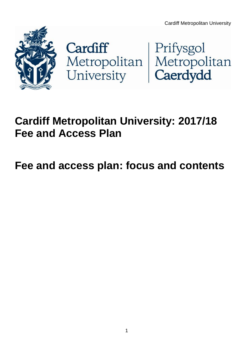



## **Cardiff Metropolitan University: 2017/18 Fee and Access Plan**

# **Fee and access plan: focus and contents**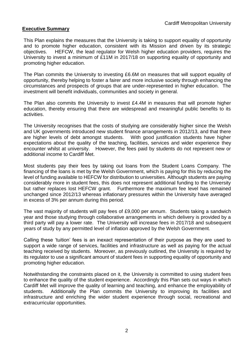#### **Executive Summary**

This Plan explains the measures that the University is taking to support equality of opportunity and to promote higher education, consistent with its Mission and driven by its strategic objectives. HEFCW, the lead regulator for Welsh higher education providers, requires the University to invest a minimum of £11M in 2017/18 on supporting equality of opportunity and promoting higher education.

The Plan commits the University to investing £6.6M on measures that will support equality of opportunity, thereby helping to foster a fairer and more inclusive society through enhancing the circumstances and prospects of groups that are under-represented in higher education. The investment will benefit individuals, communities and society in general.

The Plan also commits the University to invest £4.4M in measures that will promote higher education, thereby ensuring that there are widespread and meaningful public benefits to its activities.

The University recognises that the costs of studying are considerably higher since the Welsh and UK governments introduced new student finance arrangements in 2012/13, and that there are higher levels of debt amongst students. With good justification students have higher expectations about the quality of the teaching, facilities, services and wider experience they encounter whilst at university. However, the fees paid by students do not represent new or additional income to Cardiff Met.

Most students pay their fees by taking out loans from the Student Loans Company. The financing of the loans is met by the Welsh Government, which is paying for this by reducing the level of funding available to HEFCW for distribution to universities. Although students are paying considerably more in student fees, this does not represent additional funding to the University but rather replaces lost HEFCW grant. Furthermore the maximum fee level has remained unchanged since 2012/13 whereas inflationary pressures within the University have averaged in excess of 3% per annum during this period.

The vast majority of students will pay fees of £9,000 per annum. Students taking a sandwich year and those studying through collaborative arrangements in which delivery is provided by a third party will pay a lower rate. The University will increase fees in 2017/18 and subsequent years of study by any permitted level of inflation approved by the Welsh Government.

Calling these 'tuition' fees is an inexact representation of their purpose as they are used to support a wide range of services, facilities and infrastructure as well as paying for the actual teaching received by students. Moreover, as previously outlined, the University is required by its regulator to use a significant amount of student fees in supporting equality of opportunity and promoting higher education.

Notwithstanding the constraints placed on it, the University is committed to using student fees to enhance the quality of the student experience. Accordingly this Plan sets out ways in which Cardiff Met will improve the quality of learning and teaching, and enhance the employability of students. Additionally the Plan commits the University to improving its facilities and infrastructure and enriching the wider student experience through social, recreational and extracurricular opportunities.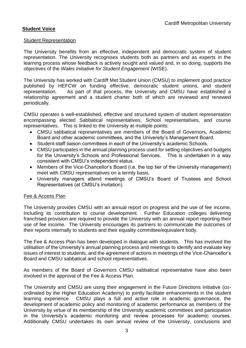#### **Student Voice**

#### **Student Representation**

The University benefits from an effective, independent and democratic system of student representation. The University recognises students both as partners and as experts in the learning process whose feedback is actively sought and valued and, in so doing, supports the objectives of the *Wales Initiative for Student Engagement* (WISE).

The University has worked with Cardiff Met Student Union (CMSU) to implement good practice published by HEFCW on funding effective, democratic student unions, and student representation. As part of that process, the University and CMSU have established a relationship agreement and a student charter both of which are reviewed and renewed periodically.

CMSU operates a well-established, effective and structured system of student representation encompassing elected Sabbatical representatives, School representatives, and course representatives. This is linked to the University at multiple points:

- CMSU sabbatical representatives are members of the Board of Governors, Academic Board and other academic committees, and the University's Management Board.
- Student-staff liaison committees in each of the University's academic Schools.
- CMSU participates in the annual planning process used for setting objectives and budgets for the University's Schools and Professional Services. This is undertaken in a way consistent with CMSU's independent status.
- Members of the Vice-Chancellor's Board (i.e. the top tier of the University management) meet with CMSU representatives on a termly basis.
- University managers attend meetings of CMSU's Board of Trustees and School Representatives (at CMSU's invitation).

#### Fee & Access Plan

The University provides CMSU with an annual report on progress and the use of fee income, including its contribution to course development. Further Education colleges delivering franchised provision are required to provide the University with an annual report reporting their use of fee income. The University encourages its partners to communicate the outcomes of their reports internally to students and their equality committee/equivalent body.

The Fee & Access Plan has been developed in dialogue with students. This has involved the utilisation of the University's annual planning process and meetings to identify and evaluate key issues of interest to students, and the agreement of actions in meetings of the Vice-Chancellor's Board and CMSU sabbatical and school representatives.

As members of the Board of Governors CMSU sabbatical representative have also been involved in the approval of the Fee & Access Plan.

The University and CMSU are using their engagement in the Future Directions initiative (coordinated by the Higher Education Academy) to jointly facilitate enhancements in the student learning experience. CMSU plays a full and active role in academic governance, the development of academic policy and monitoring of academic performance as members of the University by virtue of its membership of the University academic committees and participation in the University's academic monitoring and review processes for academic courses. Additionally CMSU undertakes its own annual review of the University, conclusions and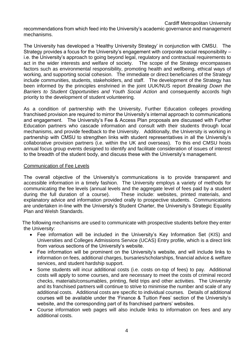recommendations from which feed into the University's academic governance and management mechanisms.

The University has developed a 'Healthy University Strategy' in conjunction with CMSU. The Strategy provides a focus for the University's engagement with corporate social responsibility – i.e. the University's approach to going beyond legal, regulatory and contractual requirements to act in the wider interests and welfare of society. The scope of the Strategy encompasses factors such as environmental responsibility, promoting health and wellbeing, ethical ways of working, and supporting social cohesion. The immediate or direct beneficiaries of the Strategy include communities, students, stakeholders, and staff. The development of the Strategy has been informed by the principles enshrined in the joint UUK/NUS report *Breaking Down the Barriers to Student Opportunities and Youth Social Action* and consequently accords high priority to the development of student volunteering.

As a condition of partnership with the University, Further Education colleges providing franchised provision are required to mirror the University's internal approach to communications and engagement. The University's Fee & Access Plan proposals are discussed with Further Education partners who cascade information and consult with their students through local mechanisms, and provide feedback to the University. Additionally, the University is working in partnership with CMSU to strengthen links with student representatives in all the University's collaborative provision partners (i.e. within the UK and overseas). To this end CMSU hosts annual focus group events designed to identify and facilitate consideration of issues of interest to the breadth of the student body, and discuss these with the University's management.

#### Communication of Fee Levels

The overall objective of the University's communications is to provide transparent and accessible information in a timely fashion. The University employs a variety of methods for communicating the fee levels (annual levels and the aggregate level of fees paid by a student during the full duration of a course). These include: websites, printed materials, and explanatory advice and information provided orally to prospective students. Communications are undertaken in-line with the University's Student Charter, the University's Strategic Equality Plan and Welsh Standards.

The following mechanisms are used to communicate with prospective students before they enter the University:

- Fee information will be included in the University's Key Information Set (KIS) and Universities and Colleges Admissions Service (UCAS) Entry profile, which is a direct link from various sections of the University's website.
- Fee information will be prominent on the University's website, and will include links to information on fees, additional charges, bursaries/scholarships, financial advice & welfare services, and student hardship support.
- Some students will incur additional costs (i.e. costs on-top of fees) to pay. Additional costs will apply to some courses, and are necessary to meet the costs of criminal record checks, materials/consumables, printing, field trips and other activities. The University and its franchised partners will continue to strive to minimise the number and scale of any additional costs. Additional costs are specific to individual courses. Details of additional courses will be available under the 'Finance & Tuition Fees' section of the University's website, and the corresponding part of its franchised partners' websites.
- Course information web pages will also include links to information on fees and any additional costs.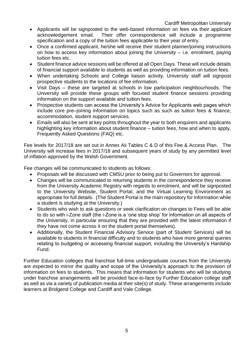Cardiff Metropolitan University

- Applicants will be signposted to the web-based information on fees via their applicant acknowledgement email. Their offer correspondence will include a programme specification and a copy of the tuition fees applicable to their year of entry.
- Once a confirmed applicant, he/she will receive their student planner/joining instructions on how to access key information about joining the University – i.e. enrolment, paying tuition fees etc.
- Student finance advice sessions will be offered at all Open Days. These will include details of financial support available to students as well as providing information on tuition fees.
- When undertaking Schools and College liaison activity, University staff will signpost prospective students to the locations of fee information.
- Visit Days these are targeted at schools in low participation neighbourhoods. The University will provide these groups with focused student finance sessions providing information on the support available and tuition fees.
- Prospective students can access the University's Advice for Applicants web pages which include core pre–joining information on topics such as such as tuition fees & finance, accommodation, student support services.
- Emails will also be sent at key points throughout the year to both enquirers and applicants highlighting key information about student finance – tuition fees, how and when to apply, Frequently Asked Questions (FAQ) etc.

Fee levels for 2017/18 are set out in Annex Aii Tables C & D of this Fee & Access Plan. The University will increase fees in 2017/18 and subsequent years of study by any permitted level of inflation approved by the Welsh Government.

Fee changes will be communicated to students as follows:

- Proposals will be discussed with CMSU prior to being put to Governors for approval.
- Changes will be communicated to returning students in the correspondence they receive from the University Academic Registry with regards to enrolment, and will be signposted to the University Website, Student Portal, and the Virtual Learning Environment as appropriate for full details. (The Student Portal is the main repository for information while a student is studying at the University.)
- Students who wish to ask questions or seek clarification on changes to Fees will be able to do so with i-Zone staff (the i-Zone is a 'one stop shop' for information on all aspects of the University, in particular ensuring that they are provided with the latest information if they have not come across it on the student portal themselves).
- Additionally, the Student Financial Advisory Service (part of Student Services) will be available to students in financial difficulty and to students who have more general queries relating to budgeting or accessing financial support, including the University's Hardship Fund.

Further Education colleges that franchise full-time undergraduate courses from the University are expected to mirror the quality and scope of the University's approach to the provision of information on fees to students. This means that information for students who will be studying under franchise arrangements will be provided face-to-face by Further Education college staff as well as via a variety of publication media at their site(s) of study. These arrangements include learners at Bridgend College and Cardiff and Vale College.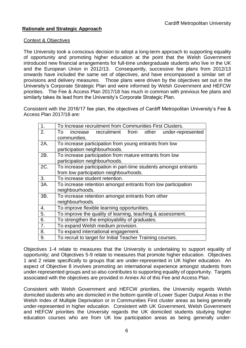#### **Rationale and Strategic Approach**

#### Context & Objectives

The University took a conscious decision to adopt a long-term approach to supporting equality of opportunity and promoting higher education at the point that the Welsh Government introduced new financial arrangements for full-time undergraduate students who live in the UK and the European Union in 2012/13. Consequently, successive fee plans from 2012/13 onwards have included the same set of objectives, and have encompassed a similar set of provisions and delivery measures. Those plans were driven by the objectives set out in the University's Corporate Strategic Plan and were informed by Welsh Government and HEFCW priorities. The Fee & Access Plan 2017/18 has much in common with previous fee plans and similarly takes its lead from the University's Corporate Strategic Plan.

Consistent with the 2016/17 fee plan, the objectives of Cardiff Metropolitan University's Fee & Access Plan 2017/18 are:

| $\mathbf{1}$ . | To Increase recruitment from Communities First Clusters.         |
|----------------|------------------------------------------------------------------|
| 2.             | increase recruitment from other under-represented<br>To          |
|                | communities.                                                     |
| 2A.            | To increase participation from young entrants from low           |
|                | participation neighbourhoods.                                    |
| 2B.            | To increase participation from mature entrants from low          |
|                | participation neighbourhoods.                                    |
| 2C.            | To increase participation in part-time students amongst entrants |
|                | from low participation neighbourhoods.                           |
| 3.             | To increase student retention.                                   |
| 3A.            | To increase retention amongst entrants from low participation    |
|                | neighbourhoods.                                                  |
| 3B.            | To increase retention amongst entrants from other                |
|                | neighbourhoods.                                                  |
| 4.             | To improve flexible learning opportunities.                      |
| 5.             | To improve the quality of learning, teaching & assessment.       |
| 6.             | To strengthen the employability of graduates.                    |
| 7.             | To expand Welsh medium provision.                                |
| 8.             | To expand international engagement.                              |
| 9.             | To recruit to target for Initial Teacher Training courses.       |

Objectives 1-4 relate to measures that the University is undertaking to support equality of opportunity; and Objectives 5-9 relate to measures that promote higher education. Objectives 1 and 2 relate specifically to groups that are under-represented in UK higher education. An aspect of Objective 8 involves promoting an international experience amongst students from under-represented groups and so also contributes to supporting equality of opportunity. Targets associated with the objectives are provided in Annex Aii of this Fee and Access Plan.

Consistent with Welsh Government and HEFCW priorities, the University regards Welsh domiciled students who are domiciled in the bottom quintile of Lower Super Output Areas in the Welsh Index of Multiple Deprivation or in Communities First cluster areas as being generally under-represented in higher education. Consistent with UK Government, Welsh Government and HEFCW priorities the University regards the UK domiciled students studying higher education courses who are from UK low participation areas as being generally under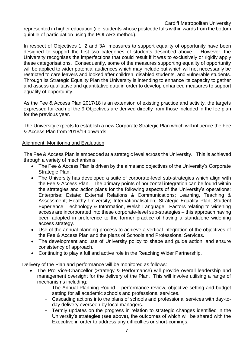represented in higher education (i.e. students whose postcode falls within wards from the bottom quintile of participation using the POLAR3 method).

In respect of Objectives 1, 2 and 3A, measures to support equality of opportunity have been designed to support the first two categories of students described above. However, the University recognises the imperfections that could result if it was to exclusively or rigidly apply these categorisations. Consequently, some of the measures supporting equality of opportunity will be applied to wider potential audiences which may include but which will not necessarily be restricted to care leavers and looked after children, disabled students, and vulnerable students. Through its Strategic Equality Plan the University is intending to enhance its capacity to gather and assess qualitative and quantitative data in order to develop enhanced measures to support equality of opportunity.

As the Fee & Access Plan 2017/18 is an extension of existing practice and activity, the targets expressed for each of the 9 Objectives are derived directly from those included in the fee plan for the previous year.

The University expects to establish a new Corporate Strategic Plan which will influence the Fee & Access Plan from 2018/19 onwards.

#### Alignment, Monitoring and Evaluation

The Fee & Access Plan is embedded at a strategic level across the University. This is achieved through a variety of mechanisms:

- The Fee & Access Plan is driven by the aims and objectives of the University's Corporate Strategic Plan.
- The University has developed a suite of corporate-level sub-strategies which align with the Fee & Access Plan. The primary points of horizontal integration can be found within the strategies and action plans for the following aspects of the University's operations: Enterprise; Estate; External Relations & Communications; Learning, Teaching & Assessment; Healthy University; Internationalisation; Strategic Equality Plan; Student Experience; Technology & Information, Welsh Language. Factors relating to widening access are incorporated into these corporate-level sub-strategies – this approach having been adopted in preference to the former practice of having a standalone widening access strategy.
- Use of the annual planning process to achieve a vertical integration of the objectives of the Fee & Access Plan and the plans of Schools and Professional Services.
- The development and use of University policy to shape and guide action, and ensure consistency of approach.
- Continuing to play a full and active role in the Reaching Wider Partnership.

Delivery of the Plan and performance will be monitored as follows:

- The Pro Vice-Chancellor (Strategy & Performance) will provide overall leadership and management oversight for the delivery of the Plan. This will involve utilising a range of mechanisms including:
	- The Annual Planning Round performance review, objective setting and budget setting for all academic schools and professional services.
	- Cascading actions into the plans of schools and professional services with day-today delivery overseen by local managers.
	- Termly updates on the progress in relation to strategic changes identified in the University's strategies (see above), the outcomes of which will be shared with the Executive in order to address any difficulties or short-comings.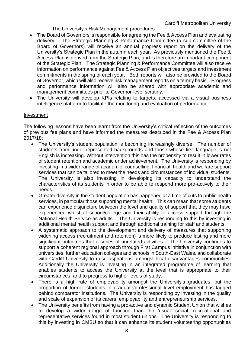- The University's Risk Management procedures.
- The Board of Governors is responsible for agreeing the Fee & Access Plan and evaluating delivery. The Strategic Planning & Performance Committee (a sub-committee of the Board of Governors) will receive an annual progress report on the delivery of the University's Strategic Plan in the autumn each year. As previously mentioned the Fee & Access Plan is derived from the Strategic Plan, and is therefore an important component of the Strategic Plan. The Strategic Planning & Performance Committee will also receive information on performance against Fee & Access Plan objectives targets and investment commitments in the spring of each year. Both reports will also be provided to the Board of Governor, which will also receive risk management reports on a termly basis. Progress and performance information will also be shared with appropriate academic and management committees prior to Governor-level scrutiny.
- The University will develop KPIs relating to targets, accessed via a visual business intelligence platform to facilitate the monitoring and evaluation of performance.

#### Investment

The following lessons have been learnt from the University's critical reflection of the outcomes of previous fee plans and have informed the measures described in the Fee & Access Plan 2017/18:

- The University's student population is becoming increasingly diverse. The number of students from under-represented backgrounds and those whose first language is not English is increasing. Without intervention this has the propensity to result in lower rates of student retention and academic under achievement. The University is responding by investing in a wider range of academic, counselling, financial, health and welfare support services that can be tailored to meet the needs and circumstances of individual students. The University is also investing in developing its capacity to understand the characteristics of its students in order to be able to respond more pro-actively to their needs.
- Greater diversity in the student population has happened at a time of cuts to public health services, in particular those supporting mental health. This can mean that some students can experience disjuncture between the level and quality of support that they may have experienced whilst at school/college and their ability to access support through the National Health Service as adults. The University is responding to this by investing in additional mental health support and through additional training for staff and students.
- A systematic approach to the development and delivery of measures that supporting widening access (recruitment and retention) is more likely to produce lasting and more significant outcomes that a series of unrelated activities. The University continues to support a coherent regional approach through First Campus initiative in conjunction with universities, further education colleges and schools in South-East Wales, and collaborate with Cardiff University to raise aspirations amongst local disadvantages communities. Additionally the University is investing in an integrated programme of learning that enables students to access the University at the level that is appropriate to their circumstances, and to progress to higher levels of study.
- There is a high rate of employability amongst the University's graduates, but the proportion of former students in graduate/professional level employment has lagged behind comparator institutions. The University is responding by investing in the quality and scale of expansion of its carers, employability and entrepreneurship services.
- The University benefits from having a pro-active and dynamic Student Union that wishes to develop a wider range of function than the 'usual' social, recreational and representative services found in most student unions. The University is responding to this by investing in CMSU so that it can enhance its student volunteering opportunities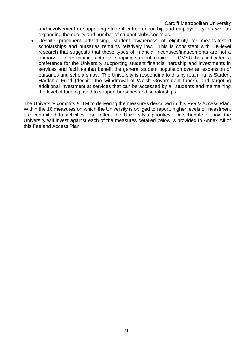Cardiff Metropolitan University

and involvement in supporting student entrepreneurship and employability, as well as expanding the quality and number of student clubs/societies.

 Despite prominent advertising, student awareness of eligibility for means-tested scholarships and bursaries remains relatively low. This is consistent with UK-level research that suggests that these types of financial incentives/inducements are not a primary or determining factor in shaping student choice. CMSU has indicated a preference for the University supporting student financial hardship and investments in services and facilities that benefit the general student population over an expansion of bursaries and scholarships. The University is responding to this by retaining its Student Hardship Fund (despite the withdrawal of Welsh Government funds), and targeting additional investment at services that can be accessed by all students and maintaining the level of funding used to support bursaries and scholarships.

The University commits £11M to delivering the measures described in this Fee & Access Plan. Within the 16 measures on which the University is obliged to report, higher levels of investment are committed to activities that reflect the University's priorities. A schedule of how the University will invest against each of the measures detailed below is provided in Annex Aii of this Fee and Access Plan.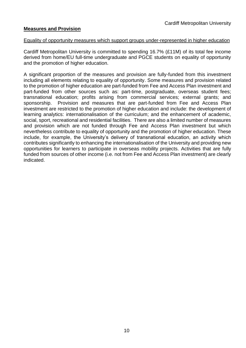#### **Measures and Provision**

#### Equality of opportunity measures which support groups under-represented in higher education

Cardiff Metropolitan University is committed to spending 16.7% (£11M) of its total fee income derived from home/EU full-time undergraduate and PGCE students on equality of opportunity and the promotion of higher education.

A significant proportion of the measures and provision are fully-funded from this investment including all elements relating to equality of opportunity. Some measures and provision related to the promotion of higher education are part-funded from Fee and Access Plan investment and part-funded from other sources such as: part-time, postgraduate, overseas student fees; transnational education; profits arising from commercial services; external grants; and sponsorship. Provision and measures that are part-funded from Fee and Access Plan investment are restricted to the promotion of higher education and include: the development of learning analytics: internationalisation of the curriculum; and the enhancement of academic, social, sport, recreational and residential facilities. There are also a limited number of measures and provision which are not funded through Fee and Access Plan investment but which nevertheless contribute to equality of opportunity and the promotion of higher education. These include, for example, the University's delivery of transnational education, an activity which contributes significantly to enhancing the internationalisation of the University and providing new opportunities for learners to participate in overseas mobility projects. Activities that are fully funded from sources of other income (i.e. not from Fee and Access Plan investment) are clearly indicated.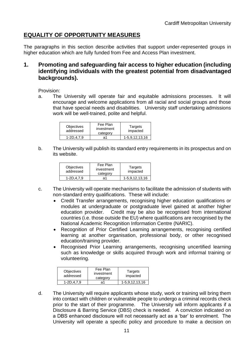## **EQUALITY OF OPPORTUNITY MEASURES**

The paragraphs in this section describe activities that support under-represented groups in higher education which are fully funded from Fee and Access Plan investment.

## **1. Promoting and safeguarding fair access to higher education (including identifying individuals with the greatest potential from disadvantaged backgrounds).**

Provision:

a. The University will operate fair and equitable admissions processes. It will encourage and welcome applications from all racial and social groups and those that have special needs and disabilities. University staff undertaking admissions work will be well-trained, polite and helpful.

| <b>Objectives</b><br>addressed | Fee Plan<br>investment<br>category | Targets<br>impacted |
|--------------------------------|------------------------------------|---------------------|
| $1 - 2D.4.7.9$                 | ล1                                 | 1-5,9,12,13,16      |

b. The University will publish its standard entry requirements in its prospectus and on its website.

| <b>Objectives</b><br>addressed | Fee Plan<br>investment<br>category | Targets<br>impacted |
|--------------------------------|------------------------------------|---------------------|
| $1 - 2D.4.7.9$                 | ล1                                 | 1-5.9.12.13.16      |

- c. The University will operate mechanisms to facilitate the admission of students with non-standard entry qualifications. These will include:
	- Credit Transfer arrangements, recognising higher education qualifications or modules at undergraduate or postgraduate level gained at another higher education provider. Credit may be also be recognised from international countries (i.e. those outside the EU) where qualifications are recognised by the National Academic Recognition Information Centre (NARIC).
	- Recognition of Prior Certified Learning arrangements, recognising certified learning at another organisation, professional body, or other recognised education/training provider.
	- Recognised Prior Learning arrangements, recognising uncertified learning such as knowledge or skills acquired through work and informal training or volunteering.

| <b>Objectives</b><br>addressed | Fee Plan<br>investment<br>category | Targets<br>impacted |
|--------------------------------|------------------------------------|---------------------|
| $1 - 2D.4.7.9$                 | ล1                                 | 1-5,9,12,13,16      |

d. The University will require applicants whose study, work or training will bring them into contact with children or vulnerable people to undergo a criminal records check prior to the start of their programme. The University will inform applicants if a Disclosure & Barring Service (DBS) check is needed. A conviction indicated on a DBS enhanced disclosure will not necessarily act as a 'bar' to enrolment. The University will operate a specific policy and procedure to make a decision on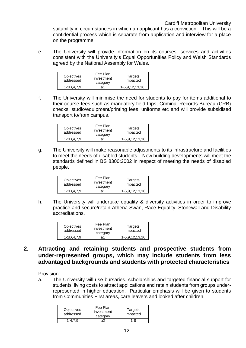suitability in circumstances in which an applicant has a conviction. This will be a confidential process which is separate from application and interview for a place on the programme.

e. The University will provide information on its courses, services and activities consistent with the University's Equal Opportunities Policy and Welsh Standards agreed by the National Assembly for Wales.

| <b>Objectives</b><br>addressed | Fee Plan<br>investment<br>category | Targets<br>impacted |
|--------------------------------|------------------------------------|---------------------|
| $1 - 2D.4.7.9$                 | ล1                                 | 1-5,9,12,13,16      |

f. The University will minimise the need for students to pay for items additional to their course fees such as mandatory field trips, Criminal Records Bureau (CRB) checks, studio/equipment/printing fees, uniforms etc and will provide subsidised transport to/from campus.

| <b>Objectives</b><br>addressed | Fee Plan<br>investment<br>category | Targets<br>impacted |
|--------------------------------|------------------------------------|---------------------|
| 1-2D.4.7.9                     | ล1                                 | 1-5,9,12,13,16      |

g. The University will make reasonable adjustments to its infrastructure and facilities to meet the needs of disabled students. New building developments will meet the standards defined in BS 8300:2002 in respect of meeting the needs of disabled people.

| <b>Objectives</b><br>addressed | Fee Plan<br>investment<br>category | Targets<br>impacted |
|--------------------------------|------------------------------------|---------------------|
| $1 - 2D.4.7.9$                 | ล1                                 | 1-5,9,12,13,16      |

h. The University will undertake equality & diversity activities in order to improve practice and secure/retain Athena Swan, Race Equality, Stonewall and Disability accreditations.

| <b>Objectives</b><br>addressed | Fee Plan<br>investment<br>category | Targets<br>impacted |
|--------------------------------|------------------------------------|---------------------|
| $1 - 2D.4.7.9$                 | ล1                                 | 1-5.9.12.13.16      |

## **2. Attracting and retaining students and prospective students from under-represented groups, which may include students from less advantaged backgrounds and students with protected characteristics**

Provision:

a. The University will use bursaries, scholarships and targeted financial support for students' living costs to attract applications and retain students from groups underrepresented in higher education. Particular emphasis will be given to students from Communities First areas, care leavers and looked after children.

| <b>Objectives</b><br>addressed | Fee Plan<br>investment<br>category | Targets<br>impacted |
|--------------------------------|------------------------------------|---------------------|
| 1-479                          | ล2                                 | 1-R                 |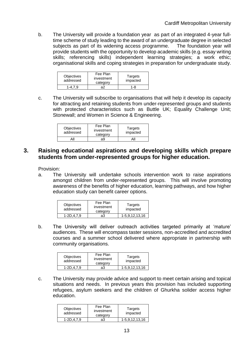b. The University will provide a foundation year as part of an integrated 4-year fulltime scheme of study leading to the award of an undergraduate degree in selected subjects as part of its widening access programme. The foundation year will provide students with the opportunity to develop academic skills (e.g. essay writing skills; referencing skills) independent learning strategies; a work ethic; organisational skills and coping strategies in preparation for undergraduate study.

| <b>Objectives</b><br>addressed | Fee Plan<br>investment<br>category | Targets<br>impacted |
|--------------------------------|------------------------------------|---------------------|
| 1-47                           | а2                                 | 1-R                 |

c. The University will subscribe to organisations that will help it develop its capacity for attracting and retaining students from under-represented groups and students with protected characteristics such as Buttle UK; Equality Challenge Unit; Stonewall; and Women in Science & Engineering.

| <b>Objectives</b><br>addressed | Fee Plan<br>investment<br>category | Targets<br>impacted |
|--------------------------------|------------------------------------|---------------------|
|                                | а9                                 |                     |

## **3. Raising educational aspirations and developing skills which prepare students from under-represented groups for higher education.**

Provision:

a. The University will undertake schools intervention work to raise aspirations amongst children from under-represented groups. This will involve promoting awareness of the benefits of higher education, learning pathways, and how higher education study can benefit career options.

| <b>Objectives</b><br>addressed | Fee Plan<br>investment<br>category | Targets<br>impacted |
|--------------------------------|------------------------------------|---------------------|
| $1 - 2D, 4, 7.9$               | аЗ                                 | 1-5,9,12,13,16      |

b. The University will deliver outreach activities targeted primarily at 'mature' audiences. These will encompass taster sessions, non-accredited and accredited courses and a summer school delivered where appropriate in partnership with community organisations.

| <b>Objectives</b><br>addressed | Fee Plan<br>investment<br>category | Targets<br>impacted |
|--------------------------------|------------------------------------|---------------------|
| 1-2D.4.7.9                     | аЗ                                 | 1-5,9,12,13,16      |

c. The University may provide advice and support to meet certain arising and topical situations and needs. In previous years this provision has included supporting refugees, asylum seekers and the children of Ghurkha solider access higher education.

| Objectives<br>addressed | Fee Plan<br>investment<br>category | Targets<br>impacted |
|-------------------------|------------------------------------|---------------------|
| 1-2D.4.7.9              | aЗ                                 | 1-5.9.12.13.16      |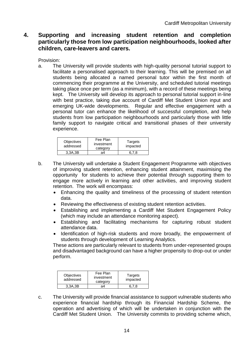## **4. Supporting and increasing student retention and completion particularly those from low participation neighbourhoods, looked after children, care-leavers and carers.**

Provision:

a. The University will provide students with high-quality personal tutorial support to facilitate a personalised approach to their learning. This will be premised on all students being allocated a named personal tutor within the first month of commencing their programme at the University, and scheduled tutorial meetings taking place once per term (as a minimum), with a record of these meetings being kept. The University will develop its approach to personal tutorial support in-line with best practice, taking due account of Cardiff Met Student Union input and emerging UK-wide developments. Regular and effective engagement with a personal tutor can enhance the likelihood of successful completion, and help students from low participation neighbourhoods and particularly those with little family support to navigate critical and transitional phases of their university experience.

| <b>Objectives</b><br>addressed | Fee Plan<br>investment<br>category | Targets<br>impacted |
|--------------------------------|------------------------------------|---------------------|
| 3.3A.3B                        | а4                                 | 6.7.8               |

- b. The University will undertake a Student Engagement Programme with objectives of improving student retention, enhancing student attainment, maximising the opportunity for students to achieve their potential through supporting them to engage more actively in learning and other activities, and improving student retention. The work will encompass:
	- Enhancing the quality and timeliness of the processing of student retention data.
	- Reviewing the effectiveness of existing student retention activities.
	- Establishing and implementing a Cardiff Met Student Engagement Policy (which may include an attendance monitoring aspect).
	- Establishing and facilitating mechanisms for capturing robust student attendance data.
	- Identification of high-risk students and more broadly, the empowerment of students through development of Learning Analytics.

These actions are particularly relevant to students from under-represented groups and disadvantaged background can have a higher propensity to drop-out or under perform.

| <b>Objectives</b><br>addressed | Fee Plan<br>investment<br>category | Targets<br>impacted |
|--------------------------------|------------------------------------|---------------------|
| 3.3A.3B                        | а4                                 |                     |

c. The University will provide financial assistance to support vulnerable students who experience financial hardship through its Financial Hardship Scheme, the operation and advertising of which will be undertaken in conjunction with the Cardiff Met Student Union. The University commits to providing scheme which,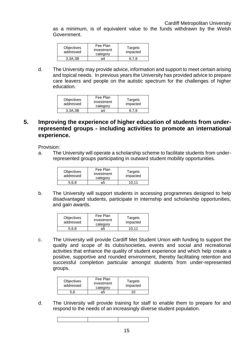as a minimum, is of equivalent value to the funds withdrawn by the Welsh Government.

| Objectives<br>addressed | Fee Plan<br>investment<br>category | Targets<br>impacted |
|-------------------------|------------------------------------|---------------------|
| 3.3A.3B                 | ล4                                 |                     |

d. The University may provide advice, information and support to meet certain arising and topical needs. In previous years the University has provided advice to prepare care leavers and people on the autistic spectrum for the challenges of higher education.

| <b>Objectives</b><br>addressed | Fee Plan<br>investment<br>category | Targets<br>impacted |
|--------------------------------|------------------------------------|---------------------|
| 3.3A.3B                        | а4                                 |                     |

### **5. Improving the experience of higher education of students from underrepresented groups - including activities to promote an international experience.**

Provision:

a. The University will operate a scholarship scheme to facilitate students from underrepresented groups participating in outward student mobility opportunities.

| <b>Objectives</b><br>addressed | Fee Plan<br>investment<br>category | Targets<br>impacted |
|--------------------------------|------------------------------------|---------------------|
|                                | а5                                 | 10 11               |

b. The University will support students in accessing programmes designed to help disadvantaged students, participate in internship and scholarship opportunities, and gain awards.

| <b>Objectives</b><br>addressed | Fee Plan<br>investment<br>category | Targets<br>impacted |
|--------------------------------|------------------------------------|---------------------|
| 5 6 8                          | ล5                                 | 10 11               |

c. The University will provide Cardiff Met Student Union with funding to support the quality and scope of its clubs/societies, events and social and recreational activities that enhance the quality of student experience and which help create a positive, supportive and rounded environment, thereby facilitating retention and successful completion particular amongst students from under-represented groups.

| Objectives<br>addressed | Fee Plan<br>investment<br>category | Targets<br>impacted |
|-------------------------|------------------------------------|---------------------|
| 5.6                     | a5                                 |                     |

d. The University will provide training for staff to enable them to prepare for and respond to the needs of an increasingly diverse student population.

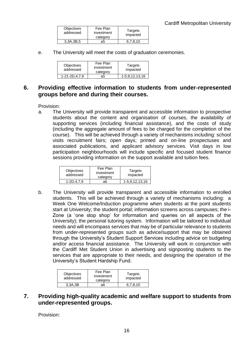| <b>Objectives</b><br>addressed | Fee Plan<br>investment<br>category | Targets<br>impacted |
|--------------------------------|------------------------------------|---------------------|
| 3,3A,3B,5                      | а5                                 | 6.7.8.10            |

e. The University will meet the costs of graduation ceremonies.

| <b>Objectives</b><br>addressed | Fee Plan<br>investment<br>category | Targets<br>impacted |
|--------------------------------|------------------------------------|---------------------|
| 1-21-2D.4.7.9                  | а5                                 | 1-5,9,12,13,16      |

## **6. Providing effective information to students from under-represented groups before and during their courses.**

Provision:

a. The University will provide transparent and accessible information to prospective students about the content and organisation of courses, the availability of supporting services (including financial assistance), and the costs of study (including the aggregate amount of fees to be charged for the completion of the course). This will be achieved through a variety of mechanisms including: school visits recruitment fairs; open days; printed and on-line prospectuses and associated publications, and applicant advisory services. Visit days in low participation neighbourhoods will include specific and focused student finance sessions providing information on the support available and tuition fees.

| <b>Objectives</b><br>addressed | Fee Plan<br>investment<br>category | Targets<br>impacted |
|--------------------------------|------------------------------------|---------------------|
| $1 - 2D.4.7.9$                 | ิ า6                               | 1-5,9,12,13,16      |

b. The University will provide transparent and accessible information to enrolled students. This will be achieved through a variety of mechanisms including: a Week One Welcome/Induction programme when students at the point students start at University; the student portal; information screens across campuses; the i-Zone (a 'one stop shop' for information and queries on all aspects of the University); the personal tutoring system. Information will be tailored to individual needs and will encompass services that may be of particular relevance to students from under-represented groups such as advice/support that may be obtained through the University's Student Support Services including advice on budgeting and/or access financial assistance. The University will work in conjunction with the Cardiff Met Student Union in advertising and signposting students to the services that are appropriate to their needs, and designing the operation of the University's Student Hardship Fund.

| <b>Objectives</b><br>addressed | Fee Plan<br>investment<br>category | Targets<br>impacted |
|--------------------------------|------------------------------------|---------------------|
| 3.3A.3B                        | а6                                 | ิ 8. 1 N            |

## **7. Providing high-quality academic and welfare support to students from under-represented groups.**

Provision: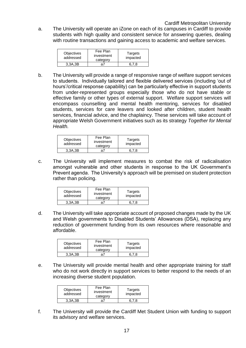a. The University will operate an iZone on each of its campuses in Cardiff to provide students with high quality and consistent service for answering queries, dealing with routine transactions and gaining access to academic and welfare services.

| <b>Objectives</b><br>addressed | Fee Plan<br>investment<br>category | Targets<br>impacted |
|--------------------------------|------------------------------------|---------------------|
| 3.3A.3B                        | a7                                 | 6 7 8               |

b. The University will provide a range of responsive range of welfare support services to students. Individually tailored and flexible delivered services (including 'out of hours'/critical response capability) can be particularly effective in support students from under-represented groups especially those who do not have stable or effective family or other types of external support. Welfare support services will encompass counselling and mental health mentoring, services for disabled students, services for care leavers and looked after children, student health services, financial advice, and the chaplaincy. These services will take account of appropriate Welsh Government initiatives such as its strategy *Together for Mental Health.*

| <b>Objectives</b><br>addressed | Fee Plan<br>investment<br>category | Targets<br>impacted |
|--------------------------------|------------------------------------|---------------------|
| 3.3A.3B                        | аī                                 |                     |

c. The University will implement measures to combat the risk of radicalisation amongst vulnerable and other students in response to the UK Government's Prevent agenda. The University's approach will be premised on student protection rather than policing.

| <b>Objectives</b><br>addressed | Fee Plan<br>investment<br>category | Targets<br>impacted |
|--------------------------------|------------------------------------|---------------------|
| 3.3A.3B                        |                                    |                     |

d. The University will take appropriate account of proposed changes made by the UK and Welsh governments to Disabled Students' Allowances (DSA), replacing any reduction of government funding from its own resources where reasonable and affordable.

| Objectives<br>addressed | Fee Plan<br>investment<br>category | Targets<br>impacted |
|-------------------------|------------------------------------|---------------------|
| 3.3A.3B                 | $\mathbf{a}^{\prime}$              |                     |

e. The University will provide mental health and other appropriate training for staff who do not work directly in support services to better respond to the needs of an increasing diverse student population.

| <b>Objectives</b><br>addressed | Fee Plan<br>investment<br>category | Targets<br>impacted |
|--------------------------------|------------------------------------|---------------------|
| 3.3A.3B                        | a                                  |                     |

f. The University will provide the Cardiff Met Student Union with funding to support its advisory and welfare services.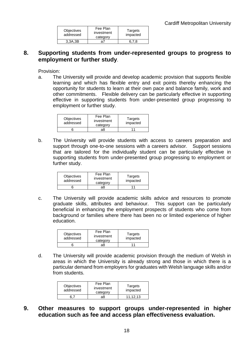| <b>Objectives</b><br>addressed | Fee Plan<br>investment<br>category | Targets<br>impacted |
|--------------------------------|------------------------------------|---------------------|
| 3.3A.3B                        |                                    |                     |

## **8. Supporting students from under-represented groups to progress to employment or further study**.

Provision:

a. The University will provide and develop academic provision that supports flexible learning and which has flexible entry and exit points thereby enhancing the opportunity for students to learn at their own pace and balance family, work and other commitments. Flexible delivery can be particularly effective in supporting effective in supporting students from under-presented group progressing to employment or further study.

| <b>Objectives</b><br>addressed | Fee Plan<br>investment<br>category | Targets<br>impacted |
|--------------------------------|------------------------------------|---------------------|
|                                | a8                                 |                     |

b. The University will provide students with access to careers preparation and support through one-to-one sessions with a careers advisor. Support sessions that are tailored for the individually student can be particularly effective in supporting students from under-presented group progressing to employment or further study.

| <b>Objectives</b><br>addressed | Fee Plan<br>investment<br>category | Targets<br>impacted |
|--------------------------------|------------------------------------|---------------------|
|                                | 98                                 |                     |

c. The University will provide academic skills advice and resources to promote graduate skills, attributes and behaviour. This support can be particularly beneficial in enhancing the employment prospects of students who come from background or families where there has been no or limited experience of higher education.

| <b>Objectives</b><br>addressed | Fee Plan<br>investment<br>category | Targets<br>impacted |
|--------------------------------|------------------------------------|---------------------|
|                                | a8                                 |                     |

d. The University will provide academic provision through the medium of Welsh in areas in which the University is already strong and those in which there is a particular demand from employers for graduates with Welsh language skills and/or from students.

| <b>Objectives</b><br>addressed | Fee Plan<br>investment<br>category | Targets<br>impacted |
|--------------------------------|------------------------------------|---------------------|
|                                | э8                                 | 11.12.13            |

**9. Other measures to support groups under-represented in higher education such as fee and access plan effectiveness evaluation.**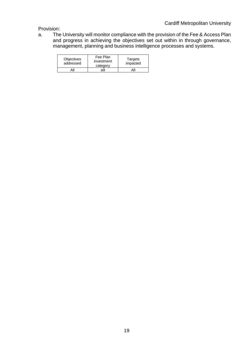Provision:

a. The University will monitor compliance with the provision of the Fee & Access Plan and progress in achieving the objectives set out within in through governance, management, planning and business intelligence processes and systems.

| <b>Objectives</b><br>addressed | Fee Plan<br>investment<br>category | Targets<br>impacted |
|--------------------------------|------------------------------------|---------------------|
|                                | a9                                 | All                 |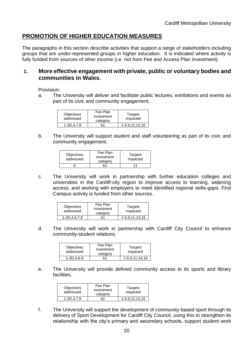## **PROMOTION OF HIGHER EDUCATION MEASURES**

The paragraphs in this section describe activities that support a range of stakeholders including groups that are under-represented groups in higher education. It is indicated where activity is fully funded from sources of other income (i.e. not from Fee and Access Plan investment).

#### **1. More effective engagement with private, public or voluntary bodies and communities in Wales.**

Provision:

a. The University will deliver and facilitate public lectures, exhibitions and events as part of its civic and community engagement.

| <b>Objectives</b><br>addressed | Fee Plan<br>investment<br>category | Targets<br>impacted |
|--------------------------------|------------------------------------|---------------------|
| $1 - 2D.4.7.9$                 | h1                                 | 1-5.9.12.13.16      |

b. The University will support student and staff volunteering as part of its civic and community engagement.

| <b>Objectives</b><br>addressed | Fee Plan<br>investment<br>category | Targets<br>impacted |
|--------------------------------|------------------------------------|---------------------|
|                                |                                    |                     |

c. The University will work in partnership with further education colleges and universities in the Cardiff-city region to improve access to learning, widening access, and working with employers to meet identified regional skills-gaps. First Campus activity is funded from other sources.

| <b>Objectives</b><br>addressed | Fee Plan<br>investment<br>category | Targets<br>impacted |
|--------------------------------|------------------------------------|---------------------|
| 1-2D, 4, 6, 7, 9               | h1                                 | 1-5,9,11-13,16      |

d. The University will work in partnership with Cardiff City Council to enhance community-student relations.

| <b>Objectives</b><br>addressed | Fee Plan<br>investment<br>category | Targets<br>impacted |
|--------------------------------|------------------------------------|---------------------|
| $1 - 2D.4.6 - 9$               | h1                                 | 1-5,9,11-14,16      |

e. The University will provide defined community access to its sports and library facilities.

| <b>Objectives</b><br>addressed | Fee Plan<br>investment<br>category | Targets<br>impacted |
|--------------------------------|------------------------------------|---------------------|
| $1-2D.4.7.9$                   |                                    | 1-5.9.12.13.16      |

f. The University will support the development of community-based sport through its delivery of Sport Development for Cardiff City Council, using this to strengthen its relationship with the city's primary and secondary schools, support student work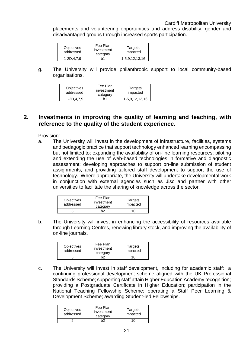placements and volunteering opportunities and address disability, gender and disadvantaged groups through increased sports participation.

| <b>Objectives</b><br>addressed | Fee Plan<br>investment<br>category | Targets<br>impacted |
|--------------------------------|------------------------------------|---------------------|
| $1 - 2D.4.7.9$                 |                                    | 1-5.9.12.13.16      |

g. The University will provide philanthropic support to local community-based organisations.

| <b>Objectives</b><br>addressed | Fee Plan<br>investment<br>category | Targets<br>impacted |
|--------------------------------|------------------------------------|---------------------|
| 1-2D.4.7.9                     | 'n1                                | 1-5,9,12,13,16      |

### **2. Investments in improving the quality of learning and teaching, with reference to the quality of the student experience.**

Provision:

a. The University will invest in the development of infrastructure, facilities, systems and pedagogic practice that support technology enhanced learning encompassing but not limited to: expanding the availability of on-line learning resources; piloting and extending the use of web-based technologies in formative and diagnostic assessment; developing approaches to support on-line submission of student assignments; and providing tailored staff development to support the use of technology. Where appropriate, the University will undertake developmental work in conjunction with external agencies such as Jisc and partner with other universities to facilitate the sharing of knowledge across the sector.

| <b>Objectives</b><br>addressed | Fee Plan<br>investment<br>category | Targets<br>impacted |
|--------------------------------|------------------------------------|---------------------|
|                                |                                    | ш                   |

b. The University will invest in enhancing the accessibility of resources available through Learning Centres, renewing library stock, and improving the availability of on-line journals.

| <b>Objectives</b><br>addressed | Fee Plan<br>investment<br>category | Targets<br>impacted |
|--------------------------------|------------------------------------|---------------------|
|                                |                                    | ו ו                 |

c. The University will invest in staff development, including for academic staff: a continuing professional development scheme aligned with the UK Professional Standards Scheme; supporting staff attain Higher Education Academy recognition; providing a Postgraduate Certificate in Higher Education; participation in the National Teaching Fellowship Scheme; operating a Staff Peer Learning & Development Scheme; awarding Student-led Fellowships.

| <b>Objectives</b><br>addressed | Fee Plan<br>investment<br>category | Targets<br>impacted |
|--------------------------------|------------------------------------|---------------------|
|                                |                                    | ''                  |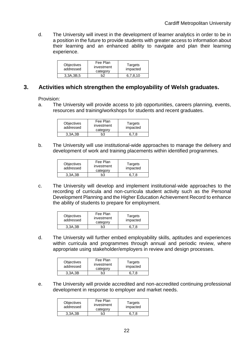d. The University will invest in the development of learner analytics in order to be in a position in the future to provide students with greater access to information about their learning and an enhanced ability to navigate and plan their learning experience.

| <b>Objectives</b><br>addressed | Fee Plan<br>investment<br>category | Targets<br>impacted |
|--------------------------------|------------------------------------|---------------------|
| 3.3A.3B.5                      | מה                                 | 67810               |

### **3. Activities which strengthen the employability of Welsh graduates.**

Provision:

a. The University will provide access to job opportunities, careers planning, events, resources and training/workshops for students and recent graduates.

| <b>Objectives</b><br>addressed | Fee Plan<br>investment<br>category | Targets<br>impacted |
|--------------------------------|------------------------------------|---------------------|
| 3.3A.3B                        | h3                                 |                     |

b. The University will use institutional-wide approaches to manage the delivery and development of work and training placements within identified programmes.

| <b>Objectives</b><br>addressed | Fee Plan<br>investment<br>category | Targets<br>impacted |
|--------------------------------|------------------------------------|---------------------|
| 3.3A.3B                        | hЗ                                 |                     |

c. The University will develop and implement institutional-wide approaches to the recording of curricula and non-curricula student activity such as the Personal Development Planning and the Higher Education Achievement Record to enhance the ability of students to prepare for employment.

| <b>Objectives</b><br>addressed | Fee Plan<br>investment<br>category | Targets<br>impacted |
|--------------------------------|------------------------------------|---------------------|
| 3.3A.3B                        | ን3                                 |                     |

d. The University will further embed employability skills, aptitudes and experiences within curricula and programmes through annual and periodic review, where appropriate using stakeholder/employers in review and design processes.

| <b>Objectives</b><br>addressed | Fee Plan<br>investment<br>category | Targets<br>impacted |
|--------------------------------|------------------------------------|---------------------|
| 3,3A,3B                        | bЗ                                 |                     |

e. The University will provide accredited and non-accredited continuing professional development in response to employer and market needs.

| <b>Objectives</b><br>addressed | Fee Plan<br>investment<br>category | Targets<br>impacted |
|--------------------------------|------------------------------------|---------------------|
| 3.3A.3B                        | h3                                 | 6 7 8               |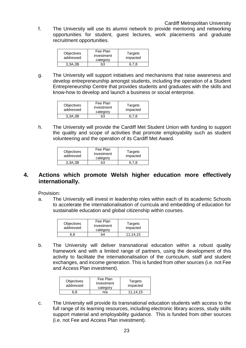f. The University will use its alumni network to provide mentoring and networking opportunities for student, guest lectures, work placements and graduate recruitment opportunities.

| <b>Objectives</b><br>addressed | Fee Plan<br>investment<br>category | Targets<br>impacted |
|--------------------------------|------------------------------------|---------------------|
| 3,3A,3B                        | bЗ                                 | 6.7.8               |

g. The University will support initiatives and mechanisms that raise awareness and develop entrepreneurship amongst students, including the operation of a Student Entrepreneurship Centre that provides students and graduates with the skills and know-how to develop and launch a business or social enterprise.

| <b>Objectives</b><br>addressed | Fee Plan<br>investment<br>category | Targets<br>impacted |
|--------------------------------|------------------------------------|---------------------|
| 3.3A.3B                        | h3                                 |                     |

h. The University will provide the Cardiff Met Student Union with funding to support the quality and scope of activities that promote employability such as student volunteering and the operation of its Cardiff Met Award.

| <b>Objectives</b><br>addressed | Fee Plan<br>investment<br>category | Targets<br>impacted |
|--------------------------------|------------------------------------|---------------------|
| 3.3A.3B                        | bЗ                                 |                     |

#### **4. Actions which promote Welsh higher education more effectively internationally.**

Provision:

a. The University will invest in leadership roles within each of its academic Schools to accelerate the internationalisation of curricula and embedding of education for sustainable education and global citizenship within courses.

| Objectives<br>addressed | Fee Plan<br>investment<br>category | Targets<br>impacted |
|-------------------------|------------------------------------|---------------------|
| ຈ 8                     | h4                                 | 11.14.15            |

b. The University will deliver transnational education within a robust quality framework and with a limited range of partners, using the development of this activity to facilitate the internationalisation of the curriculum, staff and student exchanges, and income generation. This is funded from other sources (i.e. not Fee and Access Plan investment).

| <b>Objectives</b><br>addressed | Fee Plan<br>investment<br>category | Targets<br>impacted |
|--------------------------------|------------------------------------|---------------------|
| ነ.8                            | n/a                                | 11.14.15            |

c. The University will provide its transnational education students with access to the full range of its learning resources, including electronic library access, study skills support material and employability guidance. This is funded from other sources (i.e. not Fee and Access Plan investment).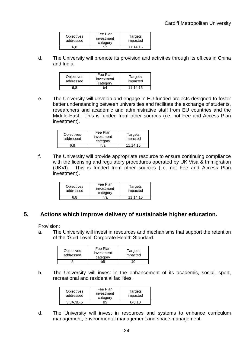| <b>Objectives</b><br>addressed | Fee Plan<br>investment<br>category | Targets<br>impacted |
|--------------------------------|------------------------------------|---------------------|
| ຈ.8                            | n/a                                | 11.14.15            |

d. The University will promote its provision and activities through its offices in China and India.

| <b>Objectives</b><br>addressed | Fee Plan<br>investment<br>category | Targets<br>impacted |
|--------------------------------|------------------------------------|---------------------|
|                                | hΔ                                 | 11.14.15            |

e. The University will develop and engage in EU-funded projects designed to foster better understanding between universities and facilitate the exchange of students, researchers and academic and administrative staff from EU countries and the Middle-East. This is funded from other sources (i.e. not Fee and Access Plan investment).

| <b>Objectives</b><br>addressed | Fee Plan<br>investment<br>category | Targets<br>impacted |
|--------------------------------|------------------------------------|---------------------|
|                                | n/a                                | 11.14.15            |

f. The University will provide appropriate resource to ensure continuing compliance with the licensing and regulatory procedures operated by UK Visa & Immigration (UKVI). This is funded from other sources (i.e. not Fee and Access Plan investment).

| <b>Objectives</b><br>addressed | Fee Plan<br>investment<br>category | Targets<br>impacted |
|--------------------------------|------------------------------------|---------------------|
|                                | n/a                                | 11.14.15            |

## **5. Actions which improve delivery of sustainable higher education.**

Provision:

a. The University will invest in resources and mechanisms that support the retention of the 'Gold Level' Corporate Health Standard.

| <b>Objectives</b><br>addressed | Fee Plan<br>investment<br>category | Targets<br>impacted |
|--------------------------------|------------------------------------|---------------------|
|                                | ი5                                 | 10                  |

b. The University will invest in the enhancement of its academic, social, sport, recreational and residential facilities.

| <b>Objectives</b><br>addressed | Fee Plan<br>investment<br>category | Targets<br>impacted |
|--------------------------------|------------------------------------|---------------------|
| 3.3A.3B.5                      | b5                                 | $6 - 8.10$          |

d. The University will invest in resources and systems to enhance curriculum management, environmental management and space management.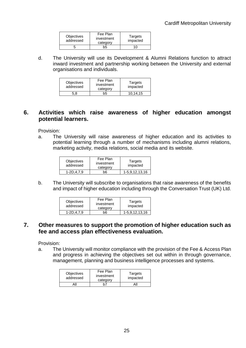| Objectives<br>addressed | Fee Plan<br>investment<br>category | Targets<br>impacted |
|-------------------------|------------------------------------|---------------------|
|                         | ን5                                 | 1 ( )               |

d. The University will use its Development & Alumni Relations function to attract inward investment and partnership working between the University and external organisations and individuals.

| <b>Objectives</b><br>addressed | Fee Plan<br>investment<br>category | Targets<br>impacted |
|--------------------------------|------------------------------------|---------------------|
| 5.8                            | ን5                                 | 10.14.15            |

## **6. Activities which raise awareness of higher education amongst potential learners.**

Provision:

a. The University will raise awareness of higher education and its activities to potential learning through a number of mechanisms including alumni relations, marketing activity, media relations, social media and its website.

| <b>Objectives</b><br>addressed | Fee Plan<br>investment<br>category | Targets<br>impacted |
|--------------------------------|------------------------------------|---------------------|
| 1-2D.4.7.9                     | b6                                 | 1-5,9,12,13,16      |

b. The University will subscribe to organisations that raise awareness of the benefits and impact of higher education including through the Conversation Trust (UK) Ltd.

| <b>Objectives</b><br>addressed | Fee Plan<br>investment<br>category | Targets<br>impacted |
|--------------------------------|------------------------------------|---------------------|
| 1-2D.4.7.9                     | ი6                                 | 1-5,9,12,13,16      |

### **7. Other measures to support the promotion of higher education such as fee and access plan effectiveness evaluation.**

Provision:

a. The University will monitor compliance with the provision of the Fee & Access Plan and progress in achieving the objectives set out within in through governance, management, planning and business intelligence processes and systems.

| <b>Objectives</b><br>addressed | Fee Plan<br>investment<br>category | Targets<br>impacted |
|--------------------------------|------------------------------------|---------------------|
|                                |                                    | AI                  |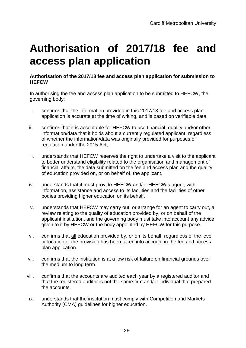## **Authorisation of 2017/18 fee and access plan application**

#### **Authorisation of the 2017/18 fee and access plan application for submission to HEFCW**

In authorising the fee and access plan application to be submitted to HEFCW, the governing body:

- i. confirms that the information provided in this 2017/18 fee and access plan application is accurate at the time of writing, and is based on verifiable data.
- ii. confirms that it is acceptable for HEFCW to use financial, quality and/or other information/data that it holds about a currently regulated applicant, regardless of whether the information/data was originally provided for purposes of regulation under the 2015 Act;
- iii. understands that HEFCW reserves the right to undertake a visit to the applicant to better understand eligibility related to the organisation and management of financial affairs, the data submitted on the fee and access plan and the quality of education provided on, or on behalf of, the applicant.
- iv. understands that it must provide HEFCW and/or HEFCW's agent, with information, assistance and access to its facilities and the facilities of other bodies providing higher education on its behalf.
- v. understands that HEFCW may carry out, or arrange for an agent to carry out, a review relating to the quality of education provided by, or on behalf of the applicant institution, and the governing body must take into account any advice given to it by HEFCW or the body appointed by HEFCW for this purpose.
- vi. confirms that all education provided by, or on its behalf, regardless of the level or location of the provision has been taken into account in the fee and access plan application.
- vii. confirms that the institution is at a low risk of failure on financial grounds over the medium to long term.
- viii. confirms that the accounts are audited each year by a registered auditor and that the registered auditor is not the same firm and/or individual that prepared the accounts.
- ix. understands that the institution must comply with Competition and Markets Authority (CMA) guidelines for higher education.